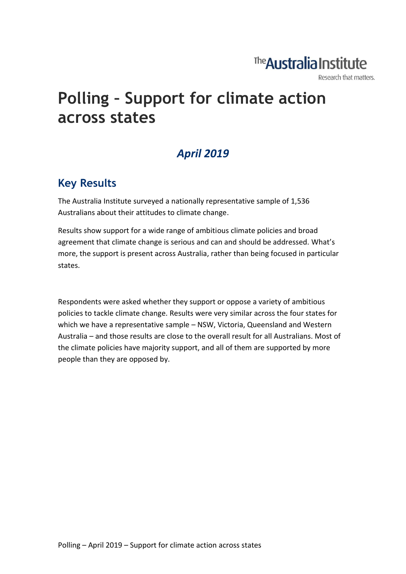# The **Australia Institute**

Research that matters.

# **Polling – Support for climate action across states**

# *April 2019*

## **Key Results**

The Australia Institute surveyed a nationally representative sample of 1,536 Australians about their attitudes to climate change.

Results show support for a wide range of ambitious climate policies and broad agreement that climate change is serious and can and should be addressed. What's more, the support is present across Australia, rather than being focused in particular states.

Respondents were asked whether they support or oppose a variety of ambitious policies to tackle climate change. Results were very similar across the four states for which we have a representative sample – NSW, Victoria, Queensland and Western Australia – and those results are close to the overall result for all Australians. Most of the climate policies have majority support, and all of them are supported by more people than they are opposed by.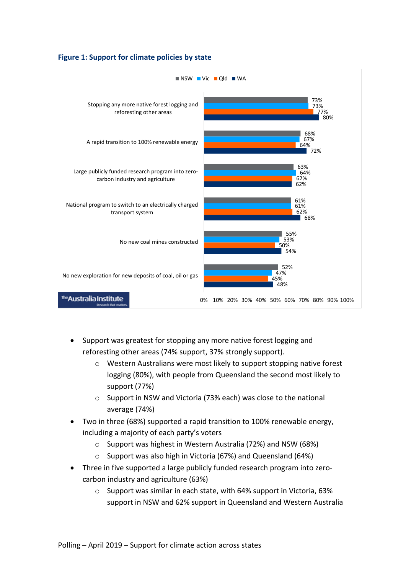



- Support was greatest for stopping any more native forest logging and reforesting other areas (74% support, 37% strongly support).
	- o Western Australians were most likely to support stopping native forest logging (80%), with people from Queensland the second most likely to support (77%)
	- o Support in NSW and Victoria (73% each) was close to the national average (74%)
- Two in three (68%) supported a rapid transition to 100% renewable energy, including a majority of each party's voters
	- o Support was highest in Western Australia (72%) and NSW (68%)
	- o Support was also high in Victoria (67%) and Queensland (64%)
- Three in five supported a large publicly funded research program into zerocarbon industry and agriculture (63%)
	- o Support was similar in each state, with 64% support in Victoria, 63% support in NSW and 62% support in Queensland and Western Australia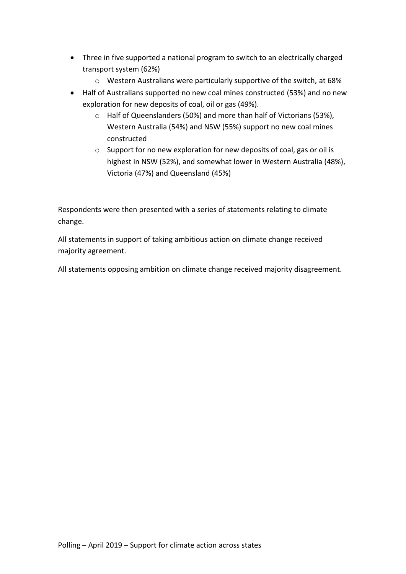- Three in five supported a national program to switch to an electrically charged transport system (62%)
	- o Western Australians were particularly supportive of the switch, at 68%
- Half of Australians supported no new coal mines constructed (53%) and no new exploration for new deposits of coal, oil or gas (49%).
	- o Half of Queenslanders (50%) and more than half of Victorians (53%), Western Australia (54%) and NSW (55%) support no new coal mines constructed
	- o Support for no new exploration for new deposits of coal, gas or oil is highest in NSW (52%), and somewhat lower in Western Australia (48%), Victoria (47%) and Queensland (45%)

Respondents were then presented with a series of statements relating to climate change.

All statements in support of taking ambitious action on climate change received majority agreement.

All statements opposing ambition on climate change received majority disagreement.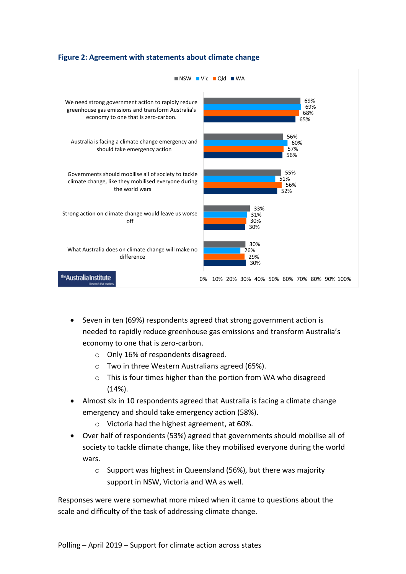

### **Figure 2: Agreement with statements about climate change**

- Seven in ten (69%) respondents agreed that strong government action is needed to rapidly reduce greenhouse gas emissions and transform Australia's economy to one that is zero-carbon.
	- o Only 16% of respondents disagreed.
	- o Two in three Western Australians agreed (65%).
	- o This is four times higher than the portion from WA who disagreed (14%).
- Almost six in 10 respondents agreed that Australia is facing a climate change emergency and should take emergency action (58%).
	- o Victoria had the highest agreement, at 60%.
- Over half of respondents (53%) agreed that governments should mobilise all of society to tackle climate change, like they mobilised everyone during the world wars.
	- o Support was highest in Queensland (56%), but there was majority support in NSW, Victoria and WA as well.

Responses were were somewhat more mixed when it came to questions about the scale and difficulty of the task of addressing climate change.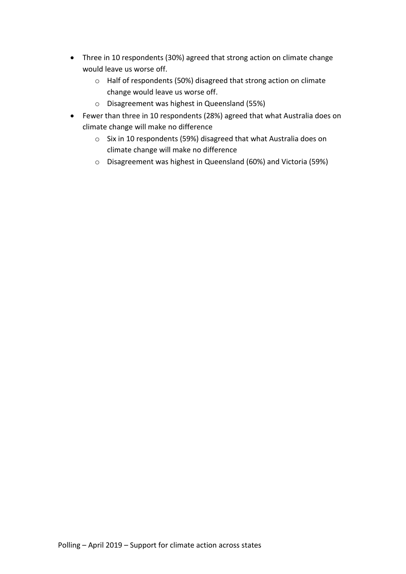- Three in 10 respondents (30%) agreed that strong action on climate change would leave us worse off.
	- o Half of respondents (50%) disagreed that strong action on climate change would leave us worse off.
	- o Disagreement was highest in Queensland (55%)
- Fewer than three in 10 respondents (28%) agreed that what Australia does on climate change will make no difference
	- o Six in 10 respondents (59%) disagreed that what Australia does on climate change will make no difference
	- o Disagreement was highest in Queensland (60%) and Victoria (59%)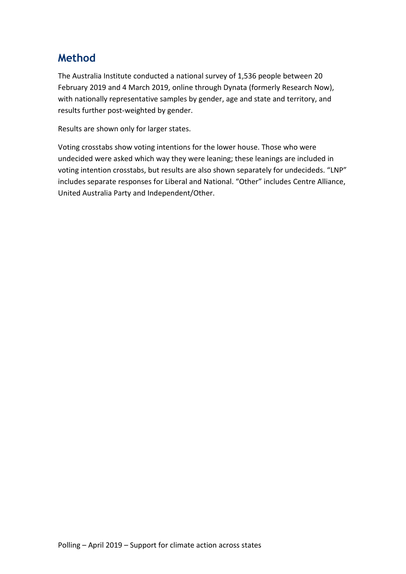## **Method**

The Australia Institute conducted a national survey of 1,536 people between 20 February 2019 and 4 March 2019, online through Dynata (formerly Research Now), with nationally representative samples by gender, age and state and territory, and results further post-weighted by gender.

Results are shown only for larger states.

Voting crosstabs show voting intentions for the lower house. Those who were undecided were asked which way they were leaning; these leanings are included in voting intention crosstabs, but results are also shown separately for undecideds. "LNP" includes separate responses for Liberal and National. "Other" includes Centre Alliance, United Australia Party and Independent/Other.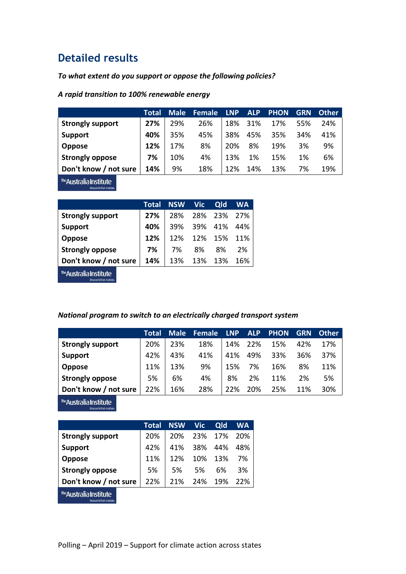### **Detailed results**

#### *To what extent do you support or oppose the following policies?*

#### *A rapid transition to 100% renewable energy*

|                         | Total | <b>Male</b> | <b>Female</b> | <b>LNP</b> | <b>ALP</b> | <b>PHON</b> | <b>GRN</b> | <b>Other</b> |
|-------------------------|-------|-------------|---------------|------------|------------|-------------|------------|--------------|
| <b>Strongly support</b> | 27%   | 29%         | 26%           | 18%        | 31%        | 17%         | 55%        | 24%          |
| <b>Support</b>          | 40%   | 35%         | 45%           | 38%        | 45%        | 35%         | 34%        | 41%          |
| Oppose                  | 12%   | 17%         | 8%            | 20%        | 8%         | 19%         | 3%         | 9%           |
| <b>Strongly oppose</b>  | 7%    | 10%         | 4%            | 13%        | 1%         | 15%         | 1%         | 6%           |
| Don't know / not sure   | 14%   | 9%          | 18%           | 12%        | 14%        | 13%         | 7%         | 19%          |
|                         |       |             |               |            |            |             |            |              |

<sup>The</sup>Australia Institute Research that ma

|                         | Total | NSW Vic |     | Qld | <b>WA</b> |
|-------------------------|-------|---------|-----|-----|-----------|
| <b>Strongly support</b> | 27%   | 28%     | 28% | 23% | - 27%     |
| <b>Support</b>          | 40%   | 39%     | 39% | 41% | 44%       |
| <b>Oppose</b>           | 12%   | 12%     | 12% | 15% | 11%       |
| <b>Strongly oppose</b>  | 7%    | 7%      | 8%  | 8%  | 2%        |
| Don't know / not sure   | 14%   | 13%     | 13% | 13% | 16%       |
| The Auctralia Inctitute |       |         |     |     |           |

**AUSTFAIIA INSTITUTE**<br>Research that matters.

#### *National program to switch to an electrically charged transport system*

|                         | Total | <b>Male</b> | <b>Female</b> | <b>LNP</b> | <b>ALP</b> | <b>PHON</b> | <b>GRN</b> | <b>Other</b> |
|-------------------------|-------|-------------|---------------|------------|------------|-------------|------------|--------------|
| <b>Strongly support</b> | 20%   | 23%         | 18%           | 14%        | 22%        | 15%         | 42%        | 17%          |
| <b>Support</b>          | 42%   | 43%         | 41%           | 41%        | 49%        | 33%         | 36%        | 37%          |
| <b>Oppose</b>           | 11%   | 13%         | 9%            | 15%        | 7%         | 16%         | 8%         | 11%          |
| <b>Strongly oppose</b>  | 5%    | 6%          | 4%            | 8%         | 2%         | 11%         | 2%         | 5%           |
| Don't know / not sure   | 22%   | 16%         | 28%           | 22%        | 20%        | 25%         | 11%        | 30%          |

The Australia Institute Research that matte

|                                                   | Total | <b>NSW</b> | <b>Vic</b> | Qld | <b>WA</b> |
|---------------------------------------------------|-------|------------|------------|-----|-----------|
| <b>Strongly support</b>                           | 20%   | 20%        | 23%        | 17% | 20%       |
| <b>Support</b>                                    | 42%   | 41%        | 38%        | 44% | 48%       |
| <b>Oppose</b>                                     | 11%   | 12%        | 10%        | 13% | 7%        |
| <b>Strongly oppose</b>                            | 5%    | 5%         | .5%        | 6%  | 3%        |
| Don't know / not sure                             | 22%   | 21%        | 24%        | 19% | 22%       |
| The Australia Institute<br>Research that matters. |       |            |            |     |           |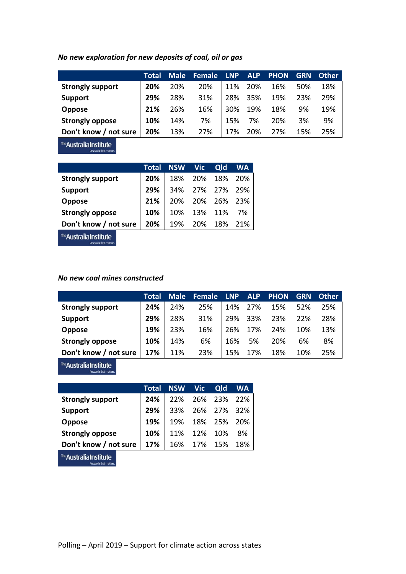*No new exploration for new deposits of coal, oil or gas*

|                         | Total | <b>Male</b> | <b>Female</b> | <b>LNP</b>      | <b>ALP</b> | <b>PHON</b> | <b>GRN</b> | <b>Other</b> |
|-------------------------|-------|-------------|---------------|-----------------|------------|-------------|------------|--------------|
| <b>Strongly support</b> | 20%   | 20%         | 20%           | 11%             | 20%        | 16%         | 50%        | 18%          |
| <b>Support</b>          | 29%   | 28%         | 31%           | 28%             | 35%        | 19%         | 23%        | 29%          |
| <b>Oppose</b>           | 21%   | 26%         | 16%           | 30 <sup>%</sup> | 19%        | 18%         | 9%         | 19%          |
| <b>Strongly oppose</b>  | 10%   | 14%         | 7%            | 15%             | 7%         | 20%         | 3%         | 9%           |
| Don't know / not sure   | 20%   | 13%         | 27%           | 17%             | 20%        | 27%         | 15%        | 25%          |

The Australia Institute Research that matte

|                         | Total |  | NSW Vic Qld WA  |  |
|-------------------------|-------|--|-----------------|--|
| <b>Strongly support</b> | 20%   |  | 18% 20% 18% 20% |  |
| <b>Support</b>          | 29%   |  | 34% 27% 27% 29% |  |
| Oppose                  | 21%   |  | 20% 20% 26% 23% |  |
| <b>Strongly oppose</b>  | 10%   |  | 10% 13% 11% 7%  |  |
| Don't know / not sure   | 20%   |  | 19% 20% 18% 21% |  |
|                         |       |  |                 |  |

<sup>rhe</sup>Australia Institute Research that matters

#### *No new coal mines constructed*

|                         | Total | <b>Male</b> | Female | <b>LNP</b> | <b>ALP</b> | <b>PHON</b> | <b>GRN</b> | <b>Other</b> |
|-------------------------|-------|-------------|--------|------------|------------|-------------|------------|--------------|
| <b>Strongly support</b> | 24%   | 24%         | 25%    | 14%        | 27%        | 15%         | 52%        | 25%          |
| Support                 | 29%   | 28%         | 31%    | 29%        | 33%        | 23%         | 22%        | 28%          |
| <b>Oppose</b>           | 19%   | 23%         | 16%    | 26%        | 17%        | 24%         | 10%        | 13%          |
| Strongly oppose         | 10%   | 14%         | 6%     | 16%        | 5%         | 20%         | 6%         | 8%           |
| Don't know / not sure   | 17%   | 11%         | 23%    | 15%        | 17%        | 18%         | 10%        | 25%          |

The Australia Institute Research that m

|                                |     | Total NSW Vic |             | Qld WA          |    |
|--------------------------------|-----|---------------|-------------|-----------------|----|
| <b>Strongly support</b>        | 24% |               |             | 22% 26% 23% 22% |    |
| <b>Support</b>                 | 29% |               |             | 33% 26% 27% 32% |    |
| <b>Oppose</b>                  | 19% |               |             | 19% 18% 25% 20% |    |
| <b>Strongly oppose</b>         | 10% |               | 11% 12% 10% |                 | 8% |
| Don't know / not sure          | 17% |               |             | 16% 17% 15% 18% |    |
| <b>The Committee Committee</b> |     |               |             |                 |    |

The **Australia Institute**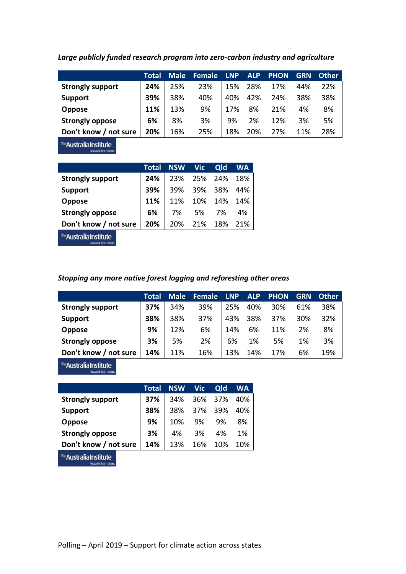|                         | Total | <b>Male</b> | Female | <b>LNP</b> | <b>ALP</b> | <b>PHON</b> | <b>GRN</b> | <b>Other</b> |
|-------------------------|-------|-------------|--------|------------|------------|-------------|------------|--------------|
| <b>Strongly support</b> | 24%   | 25%         | 23%    | 15%        | 28%        | 17%         | 44%        | 22%          |
| <b>Support</b>          | 39%   | 38%         | 40%    | 40%        | 42%        | 24%         | 38%        | 38%          |
| <b>Oppose</b>           | 11%   | 13%         | 9%     | 17%        | 8%         | 21%         | 4%         | 8%           |
| <b>Strongly oppose</b>  | 6%    | 8%          | 3%     | 9%         | 2%         | 12%         | 3%         | 5%           |
| Don't know / not sure   | 20%   | 16%         | 25%    | 18%        | 20%        | 27%         | 11%        | 28%          |

*Large publicly funded research program into zero-carbon industry and agriculture*

<sup>The</sup>Australia Institute Research that matte

|                         | <b>Total</b> |     | <b>NSW</b> Vic | <b>Qld</b> | <b>WA</b> |
|-------------------------|--------------|-----|----------------|------------|-----------|
| <b>Strongly support</b> | 24%          | 23% | 25%            | 24%        | 18%       |
| <b>Support</b>          | 39%          | 39% | 39%            | 38%        | 44%       |
| Oppose                  | 11%          | 11% | 10%            | 14%        | 14%       |
| <b>Strongly oppose</b>  | 6%           | 7%  | .5%            | 7%         | 4%        |
| Don't know / not sure   | 20%          | 20% | 21%            | 18%        | 21%       |
|                         |              |     |                |            |           |

<sup>rhe</sup>Australia Institute Research that matte

*Stopping any more native forest logging and reforesting other areas*

|                         | Total | <b>Male</b> | <b>Female</b> | LNP | <b>ALP</b> | <b>PHON</b> | <b>GRN</b> | <b>Other</b> |
|-------------------------|-------|-------------|---------------|-----|------------|-------------|------------|--------------|
| <b>Strongly support</b> | 37%   | 34%         | 39%           | 25% | 40%        | 30%         | 61%        | 38%          |
| <b>Support</b>          | 38%   | 38%         | 37%           | 43% | 38%        | 37%         | 30%        | 32%          |
| <b>Oppose</b>           | 9%    | 12%         | 6%            | 14% | 6%         | 11%         | 2%         | 8%           |
| <b>Strongly oppose</b>  | 3%    | 5%          | 2%            | 6%  | 1%         | 5%          | 1%         | 3%           |
| Don't know / not sure   | 14%   | 11%         | 16%           | 13% | 14%        | 17%         | 6%         | 19%          |

The Australia Institute Research that m

|                         | Total | <b>NSW</b> | <b>Vic</b> | Qld     | <b>WA</b> |
|-------------------------|-------|------------|------------|---------|-----------|
| <b>Strongly support</b> | 37%   | 34%        |            | 36% 37% | 40%       |
| <b>Support</b>          | 38%   | 38%        | 37%        | 39%     | 40%       |
| <b>Oppose</b>           | 9%    | 10%        | 9%         | 9%      | 8%        |
| <b>Strongly oppose</b>  | 3%    | 4%         | 3%         | 4%      | 1%        |
| Don't know / not sure   | 14%   | 13%        | 16%        | 10%     | 10%       |
|                         |       |            |            |         |           |

The **Australia Institute**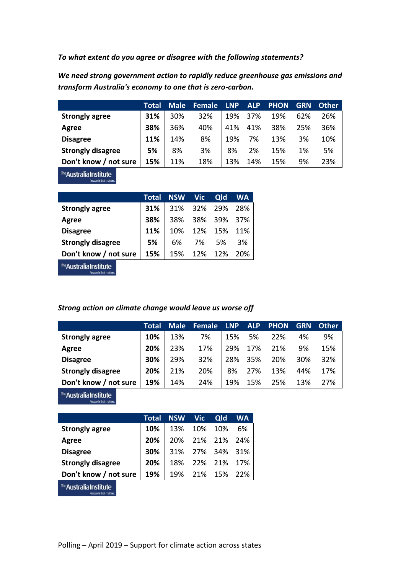*To what extent do you agree or disagree with the following statements?*

*We need strong government action to rapidly reduce greenhouse gas emissions and transform Australia's economy to one that is zero-carbon.*

|                          | Total | <b>Male</b> | Female | <b>LNP</b> | <b>ALP</b> | <b>PHON</b> | GRN | <b>Other</b> |
|--------------------------|-------|-------------|--------|------------|------------|-------------|-----|--------------|
| <b>Strongly agree</b>    | 31%   | 30%         | 32%    | 19%        | 37%        | 19%         | 62% | 26%          |
| Agree                    | 38%   | 36%         | 40%    | 41%        | 41%        | 38%         | 25% | 36%          |
| <b>Disagree</b>          | 11%   | 14%         | 8%     | 19%        | 7%         | 13%         | 3%  | 10%          |
| <b>Strongly disagree</b> | 5%    | 8%          | 3%     | 8%         | 2%         | 15%         | 1%  | 5%           |
| Don't know / not sure    | 15%   | 11%         | 18%    | 13%        | 14%        | 15%         | 9%  | 23%          |

<sup>The</sup>Australia Institute Research that matter

|                                                                                                                 | Total |     | NSW Vic     | <b>Qld</b>  | <b>WA</b> |
|-----------------------------------------------------------------------------------------------------------------|-------|-----|-------------|-------------|-----------|
| <b>Strongly agree</b>                                                                                           | 31%   |     | 31% 32% 29% |             | - 28%     |
| Agree                                                                                                           | 38%   | 38% |             | 38% 39% 37% |           |
| <b>Disagree</b>                                                                                                 | 11%   | 10% | 12%         | 15%         | 11%       |
| <b>Strongly disagree</b>                                                                                        | 5%    | 6%  | 7%          | 5%          | 3%        |
| Don't know / not sure                                                                                           | 15%   | 15% | 12%         | 12%         | 20%       |
| the contract of the contract of the contract of the contract of the contract of the contract of the contract of |       |     |             |             |           |

**eAustralia Institute** Research that matters

#### *Strong action on climate change would leave us worse off*

|                          | Total | <b>Male</b> | <b>Female</b> | <b>LNP</b> | <b>ALP</b> | <b>PHON</b> | <b>GRN</b> | <b>Other</b> |
|--------------------------|-------|-------------|---------------|------------|------------|-------------|------------|--------------|
| <b>Strongly agree</b>    | 10%   | 13%         | 7%            | 15%        | 5%         | 22%         | 4%         | 9%           |
| Agree                    | 20%   | 23%         | 17%           | 29%        | 17%        | 21%         | 9%         | 15%          |
| <b>Disagree</b>          | 30%   | 29%         | 32%           | 28%        | 35%        | 20%         | 30%        | 32%          |
| <b>Strongly disagree</b> | 20%   | 21%         | 20%           | 8%         | 27%        | 13%         | 44%        | 17%          |
| Don't know / not sure    | 19%   | 14%         | 24%           | 19%        | 15%        | 25%         | 13%        | 27%          |

The Australia Institute Research that mat

|                                                   | Total | <b>NSW</b> | <b>Vic</b> | Qld | WA  |
|---------------------------------------------------|-------|------------|------------|-----|-----|
| <b>Strongly agree</b>                             | 10%   | 13%        | 10%        | 10% | 6%  |
| Agree                                             | 20%   | 20%        | 21%        | 21% | 24% |
| <b>Disagree</b>                                   | 30%   | 31%        | 27%        | 34% | 31% |
| <b>Strongly disagree</b>                          | 20%   | 18%        | 22%        | 21% | 17% |
| Don't know / not sure                             | 19%   | 19%        | 21% 15%    |     | 22% |
| The Australia Institute<br>Research that matters. |       |            |            |     |     |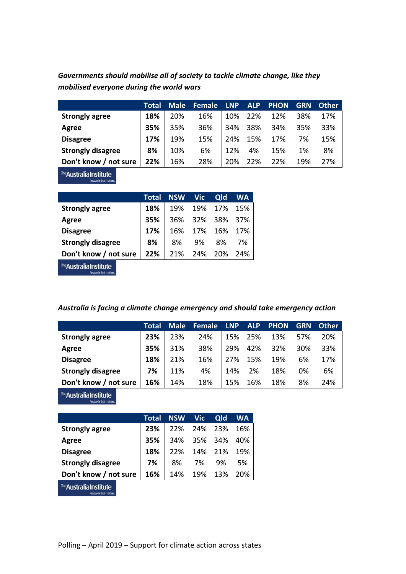| Governments should mobilise all of society to tackle climate change, like they |  |
|--------------------------------------------------------------------------------|--|
| mobilised everyone during the world wars                                       |  |

|                          | Total | <b>Male</b> | Female | <b>LNP</b> | <b>ALP</b> | <b>PHON</b> | <b>GRN</b> | Other |
|--------------------------|-------|-------------|--------|------------|------------|-------------|------------|-------|
| <b>Strongly agree</b>    | 18%   | 20%         | 16%    | 10%        | 22%        | 12%         | 38%        | 17%   |
| Agree                    | 35%   | 35%         | 36%    | <b>34%</b> | 38%        | 34%         | 35%        | 33%   |
| <b>Disagree</b>          | 17%   | 19%         | 15%    | 24%        | 15%        | 17%         | 7%         | 15%   |
| <b>Strongly disagree</b> | 8%    | 10%         | 6%     | 12%        | 4%         | 15%         | 1%         | 8%    |
| Don't know / not sure    | 22%   | 16%         | 28%    | 20%        | 22%        | 22%         | 19%        | 27%   |

The **Australia Institute** 

|                          | Total |     | NSW Vic | <b>Qld</b>  | <b>WA</b> |
|--------------------------|-------|-----|---------|-------------|-----------|
| <b>Strongly agree</b>    | 18%   | 19% | 19%     | 17% 15%     |           |
| Agree                    | 35%   |     | 36% 32% | 38% 37%     |           |
| <b>Disagree</b>          | 17%   | 16% |         | 17% 16% 17% |           |
| <b>Strongly disagree</b> | 8%    | 8%  | 9%      | 8%          | 7%        |
| Don't know / not sure    | 22%   | 21% | 24%     | 20%         | 24%       |
|                          |       |     |         |             |           |

The **Australia Institute** 

### *Australia is facing a climate change emergency and should take emergency action*

|                          | Total | <b>Male</b> | <b>Female</b> | <b>LNP</b> | <b>ALP</b> | <b>PHON</b> | <b>GRN</b> | <b>Other</b> |
|--------------------------|-------|-------------|---------------|------------|------------|-------------|------------|--------------|
| <b>Strongly agree</b>    | 23%   | 23%         | 24%           | 15%        | 25%        | 13%         | 57%        | 20%          |
| Agree                    | 35%   | 31%         | 38%           | 29%        | 42%        | 32%         | 30%        | 33%          |
| <b>Disagree</b>          | 18%   | 21%         | 16%           | 27%        | 15%        | 19%         | 6%         | 17%          |
| <b>Strongly disagree</b> | 7%    | 11%         | 4%            | 14%        | 2%         | 18%         | 0%         | 6%           |
| Don't know / not sure    | 16%   | 14%         | 18%           | 15%        | 16%        | 18%         | 8%         | 24%          |

The Australia Institute Research that matte

|                                                   | Total | <b>NSW</b> | <b>Vic</b> | Qld | WA  |
|---------------------------------------------------|-------|------------|------------|-----|-----|
| <b>Strongly agree</b>                             | 23%   | 22%        | 24%        | 23% | 16% |
| Agree                                             | 35%   | 34%        | 35%        | 34% | 40% |
| <b>Disagree</b>                                   | 18%   | 22%        | 14%        | 21% | 19% |
| <b>Strongly disagree</b>                          | 7%    | 8%         | 7%         | 9%  | .5% |
| Don't know / not sure                             | 16%   | 14%        | 19%        | 13% | 20% |
| The Australia Institute<br>Research that matters. |       |            |            |     |     |